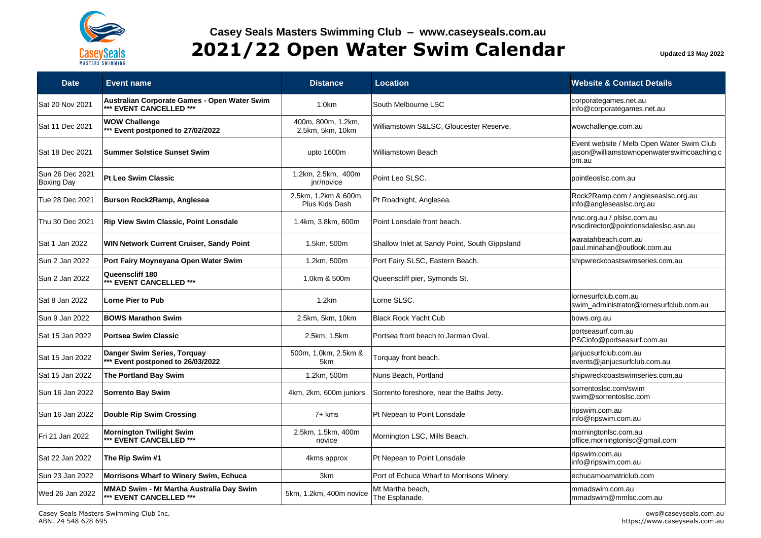

## **Casey Seals Masters Swimming Club – www.caseyseals.com.au 2021/22 Open Water Swim Calendar Updated 13 May 2022**

| <b>Date</b>                          | <b>Event name</b>                                                       | <b>Distance</b>                        | <b>Location</b>                               | <b>Website &amp; Contact Details</b>                                                            |
|--------------------------------------|-------------------------------------------------------------------------|----------------------------------------|-----------------------------------------------|-------------------------------------------------------------------------------------------------|
| Sat 20 Nov 2021                      | Australian Corporate Games - Open Water Swim<br>*** EVENT CANCELLED *** | 1.0 <sub>km</sub>                      | South Melbourne LSC                           | corporategames.net.au<br>info@corporategames.net.au                                             |
| Sat 11 Dec 2021                      | <b>WOW Challenge</b><br>*** Event postponed to 27/02/2022               | 400m, 800m, 1.2km,<br>2.5km, 5km, 10km | Williamstown S&LSC, Gloucester Reserve.       | wowchallenge.com.au                                                                             |
| Sat 18 Dec 2021                      | <b>Summer Solstice Sunset Swim</b>                                      | upto 1600m                             | <b>Williamstown Beach</b>                     | Event website / Melb Open Water Swim Club<br>jason@williamstownopenwaterswimcoaching.c<br>om.au |
| Sun 26 Dec 2021<br><b>Boxing Day</b> | Pt Leo Swim Classic                                                     | 1.2km, 2.5km, 400m<br>jnr/novice       | Point Leo SLSC.                               | pointleoslsc.com.au                                                                             |
| Tue 28 Dec 2021                      | Burson Rock2Ramp, Anglesea                                              | 2.5km, 1.2km & 600m.<br>Plus Kids Dash | Pt Roadnight, Anglesea.                       | Rock2Ramp.com / angleseaslsc.org.au<br>info@angleseaslsc.org.au                                 |
| Thu 30 Dec 2021                      | <b>Rip View Swim Classic, Point Lonsdale</b>                            | 1.4km, 3.8km, 600m                     | Point Lonsdale front beach.                   | rvsc.org.au / plslsc.com.au<br>rvscdirector@pointlonsdaleslsc.asn.au                            |
| Sat 1 Jan 2022                       | <b>WIN Network Current Cruiser, Sandy Point</b>                         | 1.5km, 500m                            | Shallow Inlet at Sandy Point, South Gippsland | waratahbeach.com.au<br>paul.minahan@outlook.com.au                                              |
| Sun 2 Jan 2022                       | Port Fairy Moyneyana Open Water Swim                                    | 1.2km, 500m                            | Port Fairy SLSC, Eastern Beach.               | shipwreckcoastswimseries.com.au                                                                 |
| Sun 2 Jan 2022                       | Queenscliff 180<br>*** EVENT CANCELLED ***                              | 1.0km & 500m                           | Queenscliff pier, Symonds St.                 |                                                                                                 |
| Sat 8 Jan 2022                       | <b>Lorne Pier to Pub</b>                                                | 1.2km                                  | Lorne SLSC.                                   | lornesurfclub.com.au<br>swim administrator@lornesurfclub.com.au                                 |
| Sun 9 Jan 2022                       | <b>BOWS Marathon Swim</b>                                               | 2.5km, 5km, 10km                       | <b>Black Rock Yacht Cub</b>                   | bows.org.au                                                                                     |
| Sat 15 Jan 2022                      | <b>Portsea Swim Classic</b>                                             | 2.5km, 1.5km                           | Portsea front beach to Jarman Oval.           | portseasurf.com.au<br>PSCinfo@portseasurf.com.au                                                |
| Sat 15 Jan 2022                      | Danger Swim Series, Torquay<br>*** Event postponed to 26/03/2022        | 500m, 1.0km, 2.5km &<br>5km            | Torquay front beach.                          | janjucsurfclub.com.au<br>events@janjucsurfclub.com.au                                           |
| Sat 15 Jan 2022                      | <b>The Portland Bay Swim</b>                                            | 1.2km, 500m                            | Nuns Beach, Portland                          | shipwreckcoastswimseries.com.au                                                                 |
| Sun 16 Jan 2022                      | <b>Sorrento Bay Swim</b>                                                | 4km, 2km, 600m juniors                 | Sorrento foreshore, near the Baths Jetty.     | sorrentoslsc.com/swim<br>swim@sorrentoslsc.com                                                  |
| Sun 16 Jan 2022                      | <b>Double Rip Swim Crossing</b>                                         | $7+$ kms                               | Pt Nepean to Point Lonsdale                   | ripswim.com.au<br>info@ripswim.com.au                                                           |
| Fri 21 Jan 2022                      | Mornington Twilight Swim<br>*** EVENT CANCELLED ***                     | 2.5km, 1.5km, 400m<br>novice           | Mornington LSC, Mills Beach.                  | morningtonlsc.com.au<br>office.morningtonlsc@gmail.com                                          |
| Sat 22 Jan 2022                      | The Rip Swim #1                                                         | 4kms approx                            | Pt Nepean to Point Lonsdale                   | ripswim.com.au<br>info@ripswim.com.au                                                           |
| Sun 23 Jan 2022                      | Morrisons Wharf to Winery Swim, Echuca                                  | 3km                                    | Port of Echuca Wharf to Morrisons Winery.     | echucamoamatriclub.com                                                                          |
| Wed 26 Jan 2022                      | MMAD Swim - Mt Martha Australia Day Swim<br>*** EVENT CANCELLED ***     | 5km, 1.2km, 400m novice                | Mt Martha beach,<br>The Esplanade.            | mmadswim.com.au<br>mmadswim@mmlsc.com.au                                                        |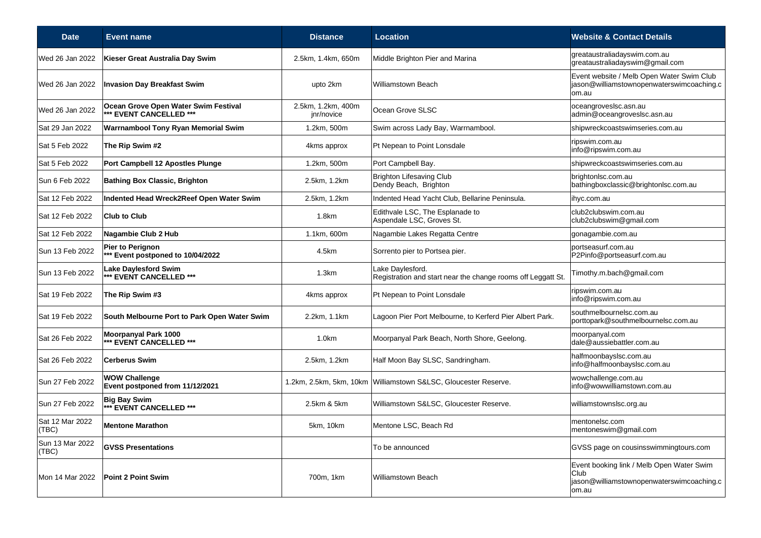| <b>Date</b>              | <b>Event name</b>                                               | <b>Distance</b>                  | <b>Location</b>                                                                  | <b>Website &amp; Contact Details</b>                                                                    |
|--------------------------|-----------------------------------------------------------------|----------------------------------|----------------------------------------------------------------------------------|---------------------------------------------------------------------------------------------------------|
| Wed 26 Jan 2022          | Kieser Great Australia Day Swim                                 | 2.5km, 1.4km, 650m               | Middle Brighton Pier and Marina                                                  | greataustraliadayswim.com.au<br>greataustraliadayswim@gmail.com                                         |
| Wed 26 Jan 2022          | <b>Invasion Day Breakfast Swim</b>                              | upto 2km                         | <b>Williamstown Beach</b>                                                        | Event website / Melb Open Water Swim Club<br>jason@williamstownopenwaterswimcoaching.c<br>om.au         |
| Wed 26 Jan 2022          | Ocean Grove Open Water Swim Festival<br>*** EVENT CANCELLED *** | 2.5km, 1.2km, 400m<br>jnr/novice | Ocean Grove SLSC                                                                 | oceangroveslsc.asn.au<br>admin@oceangroveslsc.asn.au                                                    |
| Sat 29 Jan 2022          | <b>Warrnambool Tony Ryan Memorial Swim</b>                      | 1.2km, 500m                      | Swim across Lady Bay, Warrnambool.                                               | shipwreckcoastswimseries.com.au                                                                         |
| Sat 5 Feb 2022           | The Rip Swim #2                                                 | 4kms approx                      | Pt Nepean to Point Lonsdale                                                      | ripswim.com.au<br>info@ripswim.com.au                                                                   |
| Sat 5 Feb 2022           | Port Campbell 12 Apostles Plunge                                | 1.2km, 500m                      | Port Campbell Bay.                                                               | shipwreckcoastswimseries.com.au                                                                         |
| Sun 6 Feb 2022           | <b>Bathing Box Classic, Brighton</b>                            | 2.5km, 1.2km                     | <b>Brighton Lifesaving Club</b><br>Dendy Beach, Brighton                         | brightonlsc.com.au<br>bathingboxclassic@brightonlsc.com.au                                              |
| Sat 12 Feb 2022          | Indented Head Wreck2Reef Open Water Swim                        | 2.5km, 1.2km                     | Indented Head Yacht Club, Bellarine Peninsula.                                   | ihyc.com.au                                                                                             |
| Sat 12 Feb 2022          | <b>Club to Club</b>                                             | 1.8km                            | Edithvale LSC, The Esplanade to<br>Aspendale LSC, Groves St.                     | club2clubswim.com.au<br>club2clubswim@gmail.com                                                         |
| Sat 12 Feb 2022          | Nagambie Club 2 Hub                                             | 1.1km, 600m                      | Nagambie Lakes Regatta Centre                                                    | gonagambie.com.au                                                                                       |
| Sun 13 Feb 2022          | Pier to Perignon<br>*** Event postponed to 10/04/2022           | 4.5km                            | Sorrento pier to Portsea pier.                                                   | portseasurf.com.au<br>P2Pinfo@portseasurf.com.au                                                        |
| Sun 13 Feb 2022          | <b>Lake Daylesford Swim</b><br>** EVENT CANCELLED ***           | 1.3km                            | Lake Daylesford.<br>Registration and start near the change rooms off Leggatt St. | Timothy.m.bach@gmail.com                                                                                |
| Sat 19 Feb 2022          | The Rip Swim #3                                                 | 4kms approx                      | Pt Nepean to Point Lonsdale                                                      | ripswim.com.au<br>info@ripswim.com.au                                                                   |
| Sat 19 Feb 2022          | South Melbourne Port to Park Open Water Swim                    | 2.2km, 1.1km                     | Lagoon Pier Port Melbourne, to Kerferd Pier Albert Park.                         | southmelbournelsc.com.au<br>porttopark@southmelbournelsc.com.au                                         |
| Sat 26 Feb 2022          | Moorpanyal Park 1000<br>** EVENT CANCELLED ***                  | 1.0km                            | Moorpanyal Park Beach, North Shore, Geelong.                                     | moorpanyal.com<br>dale@aussiebattler.com.au                                                             |
| Sat 26 Feb 2022          | <b>Cerberus Swim</b>                                            | 2.5km, 1.2km                     | Half Moon Bay SLSC, Sandringham.                                                 | halfmoonbayslsc.com.au<br>info@halfmoonbayslsc.com.au                                                   |
| Sun 27 Feb 2022          | <b>WOW Challenge</b><br>Event postponed from 11/12/2021         |                                  | 1.2km, 2.5km, 5km, 10km Williamstown S&LSC, Gloucester Reserve.                  | wowchallenge.com.au<br>info@wowwilliamstown.com.au                                                      |
| Sun 27 Feb 2022          | <b>Big Bay Swim</b><br>*** EVENT CANCELLED ***                  | 2.5km & 5km                      | Williamstown S&LSC, Gloucester Reserve.                                          | williamstownslsc.org.au                                                                                 |
| Sat 12 Mar 2022<br>(TBC) | <b>Mentone Marathon</b>                                         | 5km, 10km                        | Mentone LSC, Beach Rd                                                            | mentonelsc.com<br>mentoneswim@gmail.com                                                                 |
| Sun 13 Mar 2022<br>(TBC) | <b>GVSS Presentations</b>                                       |                                  | To be announced                                                                  | GVSS page on cousinsswimmingtours.com                                                                   |
| Mon 14 Mar 2022          | <b>Point 2 Point Swim</b>                                       | 700m, 1km                        | <b>Williamstown Beach</b>                                                        | Event booking link / Melb Open Water Swim<br>Club<br>jason@williamstownopenwaterswimcoaching.c<br>om.au |